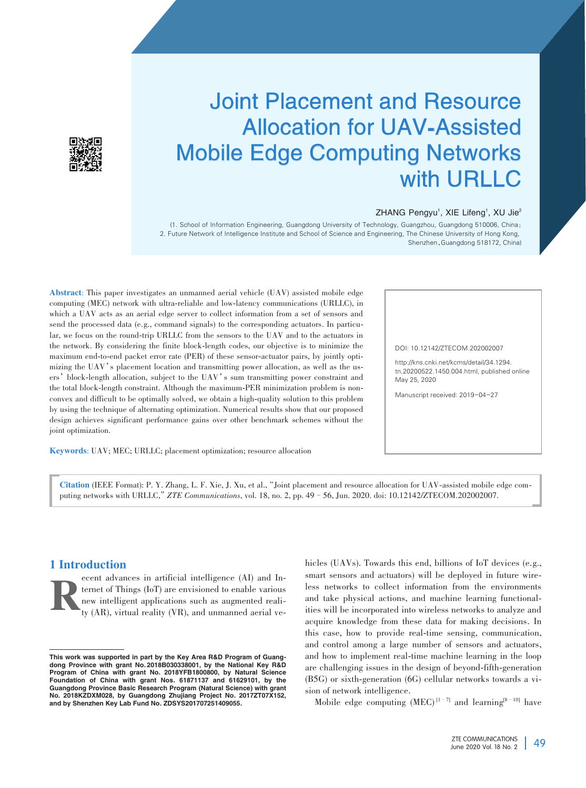

# Joint Placement and Resource Allocation for UAV⁃Assisted Mobile Edge Computing Networks with URLLC

#### ZHANG Pengyu<sup>1</sup>, XIE Lifeng<sup>1</sup>, XU Jie<sup>2</sup>

(1. School of Information Engineering, Guangdong University of Technology, Guangzhou, Guangdong 510006, China; 2. Future Network of Intelligence Institute and School of Science and Engineering, The Chinese University of Hong Kong, Shenzhen,Guangdong 518172, China)

Abstract: This paper investigates an unmanned aerial vehicle (UAV) assisted mobile edge computing (MEC) network with ultra-reliable and low-latency communications (URLLC), in which a UAV acts as an aerial edge server to collect information from a set of sensors and send the processed data (e.g., command signals) to the corresponding actuators. In particular, we focus on the round-trip URLLC from the sensors to the UAV and to the actuators in the network. By considering the finite block-length codes, our objective is to minimize the maximum end-to-end packet error rate (PER) of these sensor-actuator pairs, by jointly optimizing the UAV's placement location and transmitting power allocation, as well as the users'block-length allocation, subject to the UAV's sum transmitting power constraint and the total block-length constraint. Although the maximum-PER minimization problem is nonconvex and difficult to be optimally solved, we obtain a high-quality solution to this problem by using the technique of alternating optimization. Numerical results show that our proposed design achieves significant performance gains over other benchmark schemes without the joint optimization.

Keywords: UAV; MEC; URLLC; placement optimization; resource allocation

DOI: 10.12142/ZTECOM.202002007

http://kns.cnki.net/kcms/detail/34.1294. tn.20200522.1450.004.html, published online May 25, 2020

Manuscript received: 2019-04-27

Citation (IEEE Format): P. Y. Zhang, L. F. Xie, J. Xu, et al., "Joint placement and resource allocation for UAV-assisted mobile edge computing networks with URLLC,"*ZTE Communications*, vol. 18, no. 2, pp. 49–56, Jun. 2020. doi: 10.12142/ZTECOM.202002007.

# 1 Introduction

Example the divances in artificial intelligence (AI) and Internet of Things (IoT) are envisioned to enable various new intelligent applications such as augmented reality (AR), virtual reality (VR), and unmanned aerial veternet of Things (IoT) are envisioned to enable various new intelligent applications such as augmented realihicles (UAVs). Towards this end, billions of IoT devices (e.g., smart sensors and actuators) will be deployed in future wireless networks to collect information from the environments and take physical actions, and machine learning functionalities will be incorporated into wireless networks to analyze and acquire knowledge from these data for making decisions. In this case, how to provide real-time sensing, communication, and control among a large number of sensors and actuators, and how to implement real-time machine learning in the loop are challenging issues in the design of beyond-fifth-generation  $(B5G)$  or sixth-generation  $(6G)$  cellular networks towards a vision of network intelligence.

Mobile edge computing  $(MEC)^{[1-7]}$  and learning<sup>[8–10]</sup> have

This work was supported in part by the Key Area R&D Program of Guangdong Province with grant No. 2018B030338001, by the National Key R&D Program of China with grant No. 2018YFB1800800, by Natural Science Foundation of China with grant Nos. 61871137 and 61629101, by the Guangdong Province Basic Research Program (Natural Science) with grant No. 2018KZDXM028, by Guangdong Zhujiang Project No. 2017ZT07X152, and by Shenzhen Key Lab Fund No. ZDSYS201707251409055.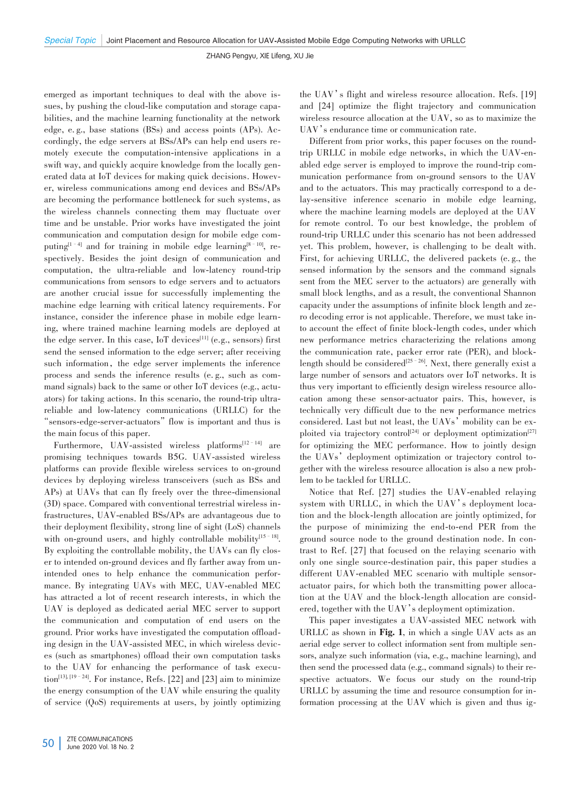emerged as important techniques to deal with the above issues, by pushing the cloud-like computation and storage capabilities, and the machine learning functionality at the network edge, e.g., base stations (BSs) and access points (APs). Accordingly, the edge servers at BSs/APs can help end users remotely execute the computation-intensive applications in a swift way, and quickly acquire knowledge from the locally generated data at IoT devices for making quick decisions. However, wireless communications among end devices and BSs/APs are becoming the performance bottleneck for such systems, as the wireless channels connecting them may fluctuate over time and be unstable. Prior works have investigated the joint communication and computation design for mobile edge com⁃ puting<sup>[1–4]</sup> and for training in mobile edge learning<sup>[8–10]</sup>, respectively. Besides the joint design of communication and computation, the ultra-reliable and low-latency round-trip communications from sensors to edge servers and to actuators are another crucial issue for successfully implementing the machine edge learning with critical latency requirements. For instance, consider the inference phase in mobile edge learning, where trained machine learning models are deployed at the edge server. In this case, IoT devices $^{[11]}$  (e.g., sensors) first send the sensed information to the edge server; after receiving such information, the edge server implements the inference process and sends the inference results (e.g., such as command signals) back to the same or other IoT devices (e.g., actuators) for taking actions. In this scenario, the round-trip ultrareliable and low-latency communications (URLLC) for the "sensors-edge-server-actuators" flow is important and thus is the main focus of this paper.

Furthermore, UAV-assisted wireless platforms<sup>[12-14]</sup> are promising techniques towards B5G. UAV-assisted wireless platforms can provide flexible wireless services to on-ground devices by deploying wireless transceivers (such as BSs and APs) at UAVs that can fly freely over the three-dimensional (3D) space. Compared with conventional terrestrial wireless infrastructures, UAV-enabled BSs/APs are advantageous due to their deployment flexibility, strong line of sight (LoS) channels with on-ground users, and highly controllable mobility<sup>[15-18]</sup>. By exploiting the controllable mobility, the UAVs can fly closer to intended on-ground devices and fly farther away from unintended ones to help enhance the communication performance. By integrating UAVs with MEC, UAV-enabled MEC has attracted a lot of recent research interests, in which the UAV is deployed as dedicated aerial MEC server to support the communication and computation of end users on the ground. Prior works have investigated the computation offloading design in the UAV-assisted MEC, in which wireless devices (such as smartphones) offload their own computation tasks to the UAV for enhancing the performance of task execution<sup>[13], [19-24]</sup>. For instance, Refs. [22] and [23] aim to minimize the energy consumption of the UAV while ensuring the quality of service (QoS) requirements at users, by jointly optimizing

the UAV's flight and wireless resource allocation. Refs. [19] and [24] optimize the flight trajectory and communication wireless resource allocation at the UAV, so as to maximize the UAV's endurance time or communication rate.

Different from prior works, this paper focuses on the roundtrip URLLC in mobile edge networks, in which the UAV-enabled edge server is employed to improve the round-trip communication performance from on-ground sensors to the UAV and to the actuators. This may practically correspond to a delay-sensitive inference scenario in mobile edge learning, where the machine learning models are deployed at the UAV for remote control. To our best knowledge, the problem of round-trip URLLC under this scenario has not been addressed yet. This problem, however, is challenging to be dealt with. First, for achieving URLLC, the delivered packets (e. g., the sensed information by the sensors and the command signals sent from the MEC server to the actuators) are generally with small block lengths, and as a result, the conventional Shannon capacity under the assumptions of infinite block length and ze⁃ ro decoding error is not applicable. Therefore, we must take into account the effect of finite block-length codes, under which new performance metrics characterizing the relations among the communication rate, packer error rate (PER), and blocklength should be considered<sup>[25 – 26]</sup>. Next, there generally exist a large number of sensors and actuators over IoT networks. It is thus very important to efficiently design wireless resource allocation among these sensor-actuator pairs. This, however, is technically very difficult due to the new performance metrics considered. Last but not least, the UAVs' mobility can be exploited via trajectory control<sup>[24]</sup> or deployment optimization<sup>[27]</sup> for optimizing the MEC performance. How to jointly design the UAVs' deployment optimization or trajectory control together with the wireless resource allocation is also a new problem to be tackled for URLLC.

Notice that Ref. [27] studies the UAV-enabled relaying system with URLLC, in which the UAV's deployment location and the block-length allocation are jointly optimized, for the purpose of minimizing the end-to-end PER from the ground source node to the ground destination node. In contrast to Ref. [27] that focused on the relaying scenario with only one single source-destination pair, this paper studies a different UAV-enabled MEC scenario with multiple sensoractuator pairs, for which both the transmitting power allocation at the UAV and the block-length allocation are considered, together with the UAV's deployment optimization.

This paper investigates a UAV-assisted MEC network with URLLC as shown in Fig. 1, in which a single UAV acts as an aerial edge server to collect information sent from multiple sensors, analyze such information (via, e.g., machine learning), and then send the processed data (e.g., command signals) to their respective actuators. We focus our study on the round-trip URLLC by assuming the time and resource consumption for information processing at the UAV which is given and thus ig-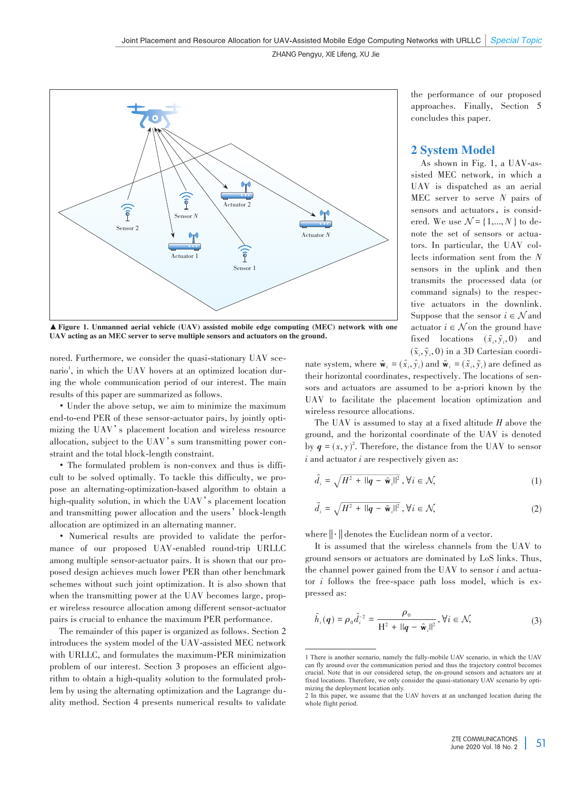

▲ Figure 1. Unmanned aerial vehicle (UAV) assisted mobile edge computing (MEC) network with one UAV acting as an MEC server to serve multiple sensors and actuators on the ground.

nored. Furthermore, we consider the quasi-stationary UAV scenario<sup>1</sup>, in which the UAV hovers at an optimized location during the whole communication period of our interest. The main results of this paper are summarized as follows.

• Under the above setup, we aim to minimize the maximum end-to-end PER of these sensor-actuator pairs, by jointly optimizing the UAV's placement location and wireless resource allocation, subject to the UAV's sum transmitting power constraint and the total block-length constraint.

• The formulated problem is non-convex and thus is difficult to be solved optimally. To tackle this difficulty, we propose an alternating-optimization-based algorithm to obtain a high-quality solution, in which the UAV's placement location and transmitting power allocation and the users'block-length allocation are optimized in an alternating manner.

• Numerical results are provided to validate the performance of our proposed UAV-enabled round-trip URLLC among multiple sensor-actuator pairs. It is shown that our proposed design achieves much lower PER than other benchmark schemes without such joint optimization. It is also shown that when the transmitting power at the UAV becomes large, proper wireless resource allocation among different sensor-actuator pairs is crucial to enhance the maximum PER performance.

The remainder of this paper is organized as follows. Section 2 introduces the system model of the UAV-assisted MEC network with URLLC, and formulates the maximum-PER minimization problem of our interest. Section 3 proposes an efficient algorithm to obtain a high-quality solution to the formulated problem by using the alternating optimization and the Lagrange duality method. Section 4 presents numerical results to validate

the performance of our proposed approaches. Finally, Section 5 concludes this paper.

## 2 System Model

As shown in Fig. 1, a UAV-assisted MEC network, in which a UAV is dispatched as an aerial MEC server to serve *N* pairs of sensors and actuators, is considered. We use  $\mathcal{N} = \{1, ..., N\}$  to denote the set of sensors or actuators. In particular, the UAV collects information sent from the *N* sensors in the uplink and then transmits the processed data (or command signals) to the respective actuators in the downlink. Suppose that the sensor  $i \in \mathcal{N}$  and actuator  $i \in \mathcal{N}$  on the ground have fixed locations  $(\hat{x}_i, \hat{y}_i, 0)$  and  $(\tilde{x}_i, \tilde{y}_i, 0)$  in a 3D Cartesian coordi-

nate system, where  $\hat{\mathbf{w}}_i = (\hat{x}_i, \hat{y}_i)$  and  $\tilde{\mathbf{w}}_i = (\tilde{x}_i, \tilde{y}_i)$  are defined as their horizontal coordinates, respectively. The locations of sensors and actuators are assumed to be a-priori known by the UAV to facilitate the placement location optimization and wireless resource allocations.

The UAV is assumed to stay at a fixed altitude *H* above the ground, and the horizontal coordinate of the UAV is denoted by  $q = (x, y)^2$ . Therefore, the distance from the UAV to sensor *i* and actuator *i* are respectively given as:

$$
\hat{d}_i = \sqrt{H^2 + ||\mathbf{q} - \hat{\mathbf{w}}_i||^2}, \forall i \in \mathcal{N},
$$
\n(1)

$$
\tilde{d}_i = \sqrt{H^2 + ||\mathbf{q} - \tilde{\mathbf{w}}_i||^2}, \forall i \in \mathcal{N},
$$
\n(2)

where  $\|\cdot\|$  denotes the Euclidean norm of a vector.

It is assumed that the wireless channels from the UAV to ground sensors or actuators are dominated by LoS links. Thus, the channel power gained from the UAV to sensor *i* and actuator *i* follows the free-space path loss model, which is expressed as:

$$
\hat{h}_i(q) = \rho_0 \hat{d}_i^{-2} = \frac{\rho_0}{\mathrm{H}^2 + \mathrm{||}q - \hat{\mathbf{w}}_i\mathrm{||}^2}, \forall i \in \mathcal{N},\tag{3}
$$

<sup>1</sup> There is another scenario, namely the fully-mobile UAV scenario, in which the UAV can fly around over the communication period and thus the trajectory control becomes crucial. Note that in our considered setup, the on-ground sensors and actuators are at fixed locations. Therefore, we only consider the quasi-stationary UAV scenario by optimizing the deployment location only.

<sup>2</sup> In this paper, we assume that the UAV hovers at an unchanged location during the whole flight period.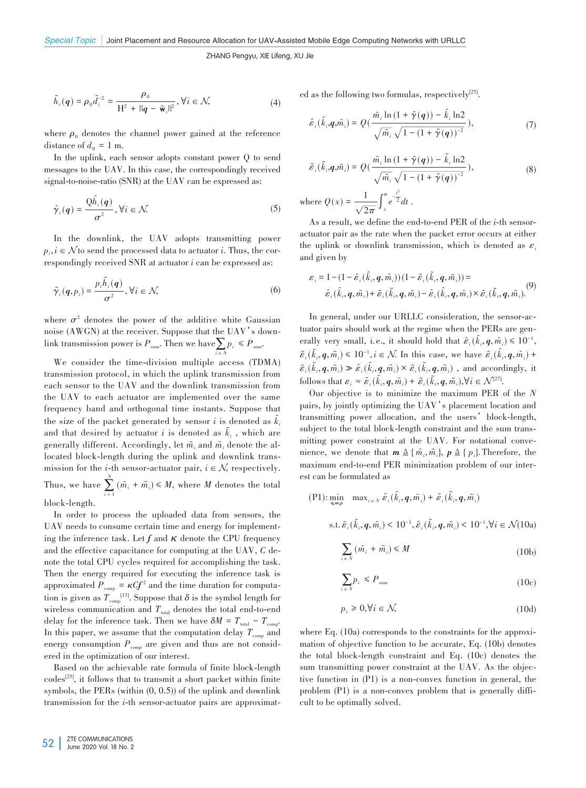$$
\tilde{h}_i(q) = \rho_0 \tilde{d}_i^{-2} = \frac{\rho_0}{\mathrm{H}^2 + \mathrm{||}q - \tilde{\mathbf{w}}_i\mathrm{||}^2}, \forall i \in \mathcal{N},\tag{4}
$$

where  $\rho_0$  denotes the channel power gained at the reference distance of  $d_0 = 1$  m.

In the uplink, each sensor adopts constant power Q to send messages to the UAV. In this case, the correspondingly received signal-to-noise-ratio (SNR) at the UAV can be expressed as:

$$
\hat{\gamma}_i(q) = \frac{Q\hat{h}_i(q)}{\sigma^2}, \forall i \in \mathcal{N}.
$$
\n(5)

In the downlink, the UAV adopts transmitting power  $p_i, i \in \mathcal{N}$  to send the processed data to actuator *i*. Thus, the correspondingly received SNR at actuator *i* can be expressed as:

$$
\tilde{\gamma}_i(q, p_i) = \frac{p_i \tilde{h}_i(q)}{\sigma^2}, \forall i \in \mathcal{N},
$$
\n(6)

where  $\sigma^2$  denotes the power of the additive white Gaussian noise (AWGN) at the receiver. Suppose that the UAV's downlink transmission power is  $P_{sum}$ . Then we have  $\sum_{i \in N} p_i \leq P_{sum}$ .

We consider the time-division multiple access (TDMA) transmission protocol, in which the uplink transmission from each sensor to the UAV and the downlink transmission from the UAV to each actuator are implemented over the same frequency band and orthogonal time instants. Suppose that the size of the packet generated by sensor  $i$  is denoted as  $k_i$ ̂ and that desired by actuator  $i$  is denoted as  $k_i$ , which are ͂ generally different. Accordingly, let  $\tilde{m_i}$  and  $\hat{m_i}$  denote the allocated block-length during the uplink and downlink transmission for the *i*-th sensor-actuator pair,  $i \in \mathcal{N}$ , respectively. Thus, we have  $\sum_{i=1}$  $\sum_{i=1}^{N}$   $(\hat{m}_{i} + \tilde{m}_{i}) \leq M$ , where *M* denotes the total

block-length.

In order to process the uploaded data from sensors, the UAV needs to consume certain time and energy for implement ing the inference task. Let  $f$  and  $\kappa$  denote the CPU frequency and the effective capacitance for computing at the UAV, *C* denote the total CPU cycles required for accomplishing the task. Then the energy required for executing the inference task is approximated  $P_{\text{comp}} = \kappa C f^2$  and the time duration for computation is given as  $T_{\text{comp}}^{[13]}$ . Suppose that  $\delta$  is the symbol length for wireless communication and  $T_{\text{total}}$  denotes the total end-to-end delay for the inference task. Then we have  $\delta M = T_{total} - T_{comp}$ . In this paper, we assume that the computation delay  $T_{\text{comp}}$  and energy consumption  $P_{\text{comp}}$  are given and thus are not considered in the optimization of our interest.

Based on the achievable rate formula of finite block-length codes[25] , it follows that to transmit a short packet within finite symbols, the PERs (within (0, 0.5)) of the uplink and downlink transmission for the *i*-th sensor-actuator pairs are approximated as the following two formulas, respectively $[25]$ .

$$
\hat{\varepsilon}_i(\hat{k}_i, \mathbf{q}, \hat{m}_i) = Q\left(\frac{\hat{m}_i \ln\left(1 + \hat{\gamma}(\mathbf{q})\right) - \hat{k}_i \ln 2}{\sqrt{\hat{m}_i} \sqrt{1 - \left(1 + \hat{\gamma}(\mathbf{q})\right)^{-2}}}\right),\tag{7}
$$

$$
\tilde{\varepsilon}_i(\tilde{k}_i, \mathbf{q}, \tilde{m}_i) = Q\left(\frac{\tilde{m}_i \ln\left(1 + \tilde{\gamma}(\mathbf{q})\right) - \tilde{k}_i \ln 2}{\sqrt{\tilde{m}_i} \sqrt{1 - \left(1 + \tilde{\gamma}(\mathbf{q})\right)^{-2}}}\right),\tag{8}
$$
\n
$$
\text{where } Q(x) = \frac{1}{\sqrt{2\pi}} \int_x^{\infty} e^{-\frac{t^2}{2}} dt.
$$

As a result, we define the end-to-end PER of the *i*-th sensoractuator pair as the rate when the packet error occurs at either the uplink or downlink transmission, which is denoted as  $\varepsilon_i$ and given by

$$
\varepsilon_i = 1 - (1 - \hat{\varepsilon}_i(\hat{k}_i, q, \hat{m}_i)) (1 - \tilde{\varepsilon}_i(\tilde{k}_i, q, \tilde{m}_i)) =
$$
  

$$
\hat{\varepsilon}_i(\hat{k}_i, q, \hat{m}_i) + \tilde{\varepsilon}_i(\tilde{k}_i, q, \tilde{m}_i) - \hat{\varepsilon}_i(\hat{k}_i, q, \hat{m}_i) \times \tilde{\varepsilon}_i(\tilde{k}_i, q, \tilde{m}_i).
$$
 (9)

In general, under our URLLC consideration, the sensor-actuator pairs should work at the regime when the PERs are generally very small, i.e., it should hold that  $\hat{\varepsilon}_i(k_i, \mathbf{q}, \hat{m}_i) \leq 10^{-1}$ , ̂  $\tilde{\varepsilon}$ <sup>*i*</sup>( $k_i$ ,  $q$ ,  $\tilde{m}_i$ )  $\leq 10^{-1}$ ,  $i \in \mathcal{N}$ . In this case, we have  $\hat{\varepsilon}$ <sub>*i*</sub>( $k_i$ ,  $q$ ,  $\hat{m}_i$ ) + ͂ ̂  $\tilde{\varepsilon}_i(k_i, q, \tilde{m}_i) \gg \hat{\varepsilon}_i(k_i, q, \hat{m}_i) \times \tilde{\varepsilon}_i(k_i, q, \tilde{m}_i)$ , and accordingly, it ͂ ̂ ĩ follows that  $\varepsilon_i \approx \hat{\varepsilon}_i(k_i, \mathbf{q}, \hat{m}_i) + \tilde{\varepsilon}_i(k_i, \mathbf{q}, \tilde{m}_i), \forall i \in \mathcal{N}^{[27]}$ . ̂ ͂

Our objective is to minimize the maximum PER of the *N* pairs, by jointly optimizing the UAV's placement location and transmitting power allocation, and the users'block-length, subject to the total block-length constraint and the sum transmitting power constraint at the UAV. For notational convenience, we denote that  $m \triangleq \{ \hat{m}_i, \tilde{m}_i \}$ ,  $p \triangleq \{ p_i \}$ . Therefore, the maximum end-to-end PER minimization problem of our interest can be formulated as

$$
\begin{aligned} \text{(P1):} \min_{\mathbf{q}, \mathbf{m}, p} \quad \max_{i \in N} \hat{\varepsilon}_i(\hat{k}_i, \mathbf{q}, \hat{m}_i) + \tilde{\varepsilon}_i(\tilde{k}_i, \mathbf{q}, \tilde{m}_i) \\ \text{s.t.} \, \hat{\varepsilon}_i(\hat{k}_i, \mathbf{q}, \hat{m}_i) < 10^{-1}, \tilde{\varepsilon}_i(\tilde{k}_i, \mathbf{q}, \tilde{m}_i) < 10^{-1}, \forall i \in \mathcal{N} \text{(10a)} \end{aligned}
$$

$$
\sum_{i \in N} (\hat{m}_i + \tilde{m}_i) \le M \tag{10b}
$$

$$
\sum_{i \in N} p_i \le P_{\text{sum}} \tag{10c}
$$

$$
p_i \geq 0, \forall i \in \mathcal{N},\tag{10d}
$$

where Eq.  $(10a)$  corresponds to the constraints for the approximation of objective function to be accurate, Eq. (10b) denotes the total block-length constraint and Eq. (10c) denotes the sum transmitting power constraint at the UAV. As the objective function in (P1) is a non-convex function in general, the problem (P1) is a non-convex problem that is generally difficult to be optimally solved.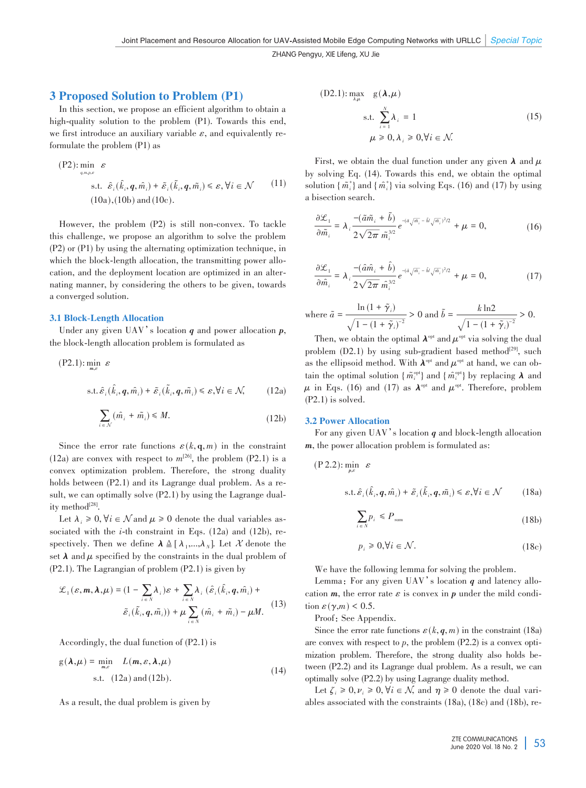## 3 Proposed Solution to Problem (P1)

In this section, we propose an efficient algorithm to obtain a high-quality solution to the problem (P1). Towards this end, we first introduce an auxiliary variable  $\varepsilon$ , and equivalently reformulate the problem (P1) as

$$
\begin{aligned} \text{(P2):} \min_{\boldsymbol{q}, \boldsymbol{m}, \boldsymbol{\nu}, \boldsymbol{\varepsilon}} & \varepsilon\\ \text{s.t.} & \hat{\boldsymbol{\varepsilon}}_i(\hat{k}_i, \boldsymbol{q}, \hat{m}_i) + \tilde{\boldsymbol{\varepsilon}}_i(\tilde{k}_i, \boldsymbol{q}, \tilde{m}_i) \leq \varepsilon, \forall i \in \mathcal{N} \qquad (11) \\ (10a), (10b) \text{ and } (10c). \end{aligned}
$$

However, the problem (P2) is still non-convex. To tackle this challenge, we propose an algorithm to solve the problem (P2) or (P1) by using the alternating optimization technique, in which the block-length allocation, the transmitting power allocation, and the deployment location are optimized in an alternating manner, by considering the others to be given, towards a converged solution.

### 3.1 Block-Length Allocation

Under any given UAV's location *q* and power allocation *p*, the block-length allocation problem is formulated as

$$
(P2.1): \min_{m,\varepsilon} \varepsilon
$$
  
s.t.  $\hat{\varepsilon}_i(\hat{k}_i, q, \hat{m}_i) + \tilde{\varepsilon}_i(\tilde{k}_i, q, \tilde{m}_i) \le \varepsilon, \forall i \in \mathcal{N},$  (12a)

$$
\sum_{i \in \mathcal{N}} (\hat{m}_i + \tilde{m}_i) \le M. \tag{12b}
$$

Since the error rate functions  $\varepsilon(k, \mathbf{q}, m)$  in the constraint  $(12a)$  are convex with respect to  $m^{[26]}$ , the problem  $(P2.1)$  is a convex optimization problem. Therefore, the strong duality holds between  $(P2.1)$  and its Lagrange dual problem. As a result, we can optimally solve (P2.1) by using the Lagrange duality method $^{[28]}$ .

Let  $\lambda_i \geq 0$ ,  $\forall i \in \mathcal{N}$  and  $\mu \geq 0$  denote the dual variables associated with the *i*-th constraint in Eqs. (12a) and (12b), respectively. Then we define  $\lambda \triangleq [\lambda_1,...,\lambda_N]$ . Let X denote the set  $\lambda$  and  $\mu$  specified by the constraints in the dual problem of (P2.1). The Lagrangian of problem (P2.1) is given by

$$
\mathcal{L}_1(\varepsilon, m, \lambda, \mu) = (1 - \sum_{i \in N} \lambda_i) \varepsilon + \sum_{i \in N} \lambda_i (\hat{\varepsilon}_i (\hat{k}_i, q, \hat{m}_i) + \tilde{\varepsilon}_i (\hat{k}_i, q, \tilde{m}_i)) + \mu \sum_{i \in N} (\hat{m}_i + \tilde{m}_i) - \mu M. \tag{13}
$$

Accordingly, the dual function of (P2.1) is

$$
g(\lambda,\mu) = \min_{m,\varepsilon} L(m,\varepsilon,\lambda,\mu)
$$
  
s.t. (12a) and (12b). (14)

As a result, the dual problem is given by

(D2.1): 
$$
\max_{\lambda \mu} g(\lambda, \mu)
$$
  
s.t. 
$$
\sum_{i=1}^{N} \lambda_{i} = 1
$$

$$
\mu \ge 0, \lambda_{i} \ge 0, \forall i \in \mathcal{N}.
$$
 (15)

First, we obtain the dual function under any given  $\lambda$  and  $\mu$ by solving Eq. (14). Towards this end, we obtain the optimal solution  $\{\tilde{m}_i^*\}$  and  $\{\tilde{m}_i^*\}$  via solving Eqs. (16) and (17) by using a bisection search.

$$
\frac{\partial \mathcal{L}_1}{\partial \tilde{m}_i} = \lambda_i \frac{-(\tilde{a}\tilde{m}_i + \tilde{b})}{2\sqrt{2\pi} \tilde{m}_i^{3/2}} e^{-(\tilde{a}\sqrt{\tilde{m}_i} - \tilde{b}\sqrt{\tilde{m}_i})^2/2} + \mu = 0,
$$
 (16)

$$
\frac{\partial \mathcal{L}_1}{\partial \hat{m}_i} = \lambda_i \frac{-(\hat{a}\hat{m}_i + \hat{b})}{2\sqrt{2\pi} \hat{m}_i^{3/2}} e^{-(\hat{a}\sqrt{\hat{m}_i} - \hat{b}\sqrt{\hat{m}_i})^2/2} + \mu = 0, \tag{17}
$$

where 
$$
\tilde{a} = \frac{\ln\left(1 + \tilde{\gamma}_i\right)}{\sqrt{1 - \left(1 + \tilde{\gamma}_i\right)^{-2}}} > 0
$$
 and  $\tilde{b} = \frac{k \ln 2}{\sqrt{1 - \left(1 + \tilde{\gamma}_i\right)^{-2}}} > 0$ .

Then, we obtain the optimal  $\lambda^{\text{opt}}$  and  $\mu^{\text{opt}}$  via solving the dual problem  $(D2.1)$  by using sub-gradient based method<sup>[29]</sup>, such as the ellipsoid method. With  $\lambda^{\text{opt}}$  and  $\mu^{\text{opt}}$  at hand, we can obtain the optimal solution  $\{\tilde{m}_i^{\text{opt}}\}$  and  $\{\tilde{m}_i^{\text{opt}}\}$  by replacing  $\lambda$  and *μ* in Eqs. (16) and (17) as  $\lambda^{\text{opt}}$  and  $\mu^{\text{opt}}$ . Therefore, problem (P2.1) is solved.

#### 3.2 Power Allocation

For any given UAV's location *q* and block-length allocation *m*, the power allocation problem is formulated as:

$$
(P 2.2): \min_{p,\varepsilon} \quad \varepsilon
$$

$$
\text{s.t.} \,\hat{\varepsilon}_i(\hat{k}_i, \mathbf{q}, \hat{m}_i) + \tilde{\varepsilon}_i(\tilde{k}_i, \mathbf{q}, \tilde{m}_i) \leq \varepsilon, \forall i \in \mathcal{N} \tag{18a}
$$

$$
\sum_{i \in N} p_i \le P_{\text{sum}} \tag{18b}
$$

$$
p_i \geq 0, \forall i \in \mathcal{N}.\tag{18c}
$$

We have the following lemma for solving the problem.

Lemma: For any given UAV's location  $q$  and latency allocation  $m$ , the error rate  $\varepsilon$  is convex in  $p$  under the mild condition  $\varepsilon(\gamma,m)$  < 0.5.

Proof: See Appendix.

Since the error rate functions  $\varepsilon(k, q, m)$  in the constraint (18a) are convex with respect to  $p$ , the problem  $(P2.2)$  is a convex optimization problem. Therefore, the strong duality also holds between (P2.2) and its Lagrange dual problem. As a result, we can optimally solve (P2.2) by using Lagrange duality method.

Let  $\zeta_i \geq 0, \nu_i \geq 0, \forall i \in \mathcal{N}$ , and  $\eta \geq 0$  denote the dual variables associated with the constraints (18a), (18c) and (18b), re-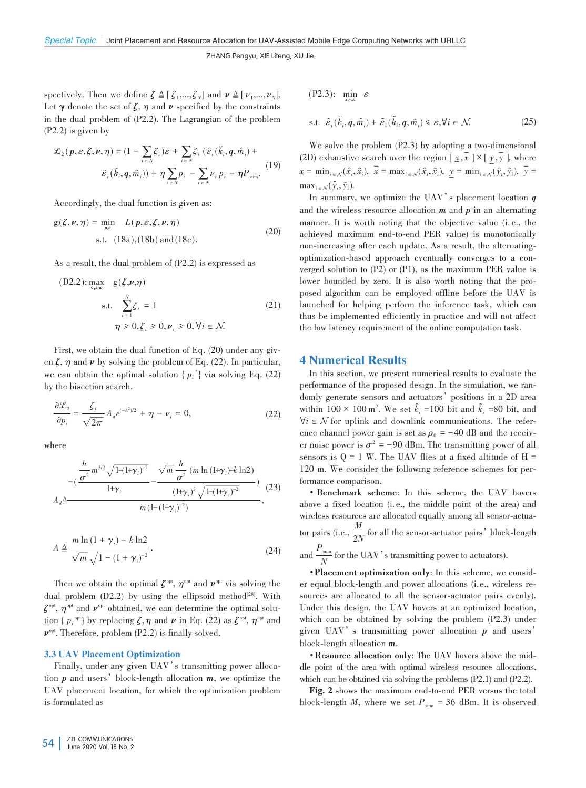spectively. Then we define  $\zeta \triangleq [\zeta_1, \ldots, \zeta_N]$  and  $\nu \triangleq [\nu_1, \ldots, \nu_N]$ . Let  $\gamma$  denote the set of  $\zeta$ ,  $\eta$  and  $\nu$  specified by the constraints in the dual problem of (P2.2). The Lagrangian of the problem (P2.2) is given by

$$
\mathcal{L}_2(p,\varepsilon,\zeta,\nu,\eta) = (1 - \sum_{i \in N} \zeta_i)\varepsilon + \sum_{i \in N} \zeta_i (\hat{\varepsilon}_i(\hat{k}_i,q,\hat{m}_i) + \tilde{\varepsilon}_i(\tilde{k}_i,q,\tilde{m}_i)) + \eta \sum_{i \in N} p_i - \sum_{i \in N} \nu_i p_i - \eta P_{sum}.
$$
 (19)

Accordingly, the dual function is given as:

$$
g(\zeta, \nu, \eta) = \min_{p, \varepsilon} L(p, \varepsilon, \zeta, \nu, \eta)
$$
  
s.t. (18a), (18b) and (18c). (20)

As a result, the dual problem of (P2.2) is expressed as

(D2.2): 
$$
\max_{s,\mu,\varphi} g(\zeta,\nu,\eta)
$$
  
s.t. 
$$
\sum_{i=1}^{N} \zeta_i = 1
$$

$$
\eta \ge 0, \zeta_i \ge 0, \nu_{\zeta} \ge 0, \forall i \in \mathcal{N}.
$$
 (21)

First, we obtain the dual function of Eq. (20) under any given  $\zeta$ ,  $\eta$  and  $\nu$  by solving the problem of Eq. (22). In particular, we can obtain the optimal solution  $\{p_i^*\}$  via solving Eq. (22) by the bisection search.

$$
\frac{\partial \mathcal{L}_2}{\partial p_i} = \frac{\zeta_i}{\sqrt{2\pi}} A_d e^{(-A^2)/2} + \eta - \nu_i = 0,
$$
 (22)

where

$$
A_{d} \triangleq \frac{\frac{h}{\sigma^{2}} m^{3/2} \sqrt{1-(1+\gamma_{i})^{-2}} - \frac{\sqrt{m} \frac{h}{\sigma^{2}} (m \ln(1+\gamma_{i})-k \ln 2)}{(1+\gamma_{i})^{3} \sqrt{1-(1+\gamma_{i})^{-2}}})}{m (1-(1+\gamma_{i})^{-2})},
$$
(23)

$$
A \triangleq \frac{m \ln \left(1 + \gamma_i\right) - k \ln 2}{\sqrt{m} \sqrt{1 - \left(1 + \gamma_i\right)^{-2}}}.
$$
\n(24)

Then we obtain the optimal  $\zeta^{\text{opt}}$ ,  $\eta^{\text{opt}}$  and  $\nu^{\text{opt}}$  via solving the dual problem  $(D2.2)$  by using the ellipsoid method<sup>[28]</sup>. With *ζ*<sup>opt</sup>, *η*<sup>opt</sup> and *ν*<sup>opt</sup> obtained, we can determine the optimal solution {  $p_i^{\text{opt}}$ } by replacing  $\zeta, \eta$  and  $\nu$  in Eq. (22) as  $\zeta^{\text{opt}}, \eta^{\text{opt}}$  and *ν*<sup>opt</sup>. Therefore, problem (P2.2) is finally solved.

#### 3.3 UAV Placement Optimization

Finally, under any given UAV's transmitting power allocation *p* and users'block-length allocation *m*, we optimize the UAV placement location, for which the optimization problem is formulated as

$$
\begin{aligned} \n\text{(P2.3):} \quad &\min_{x, y, \varepsilon} \varepsilon \\ \n\text{s.t.} \quad &\hat{\varepsilon}_i(\hat{k}_i, q, \hat{m}_i) + \tilde{\varepsilon}_i(\tilde{k}_i, q, \tilde{m}_i) \leq \varepsilon, \forall i \in \mathcal{N}. \n\end{aligned} \tag{25}
$$

We solve the problem (P2.3) by adopting a two-dimensional (2D) exhaustive search over the region  $[\underline{x}, \overline{x}] \times [\underline{y}, \overline{y}]$ , where  $\underline{x} = \min_{i \in \mathcal{N}} (\hat{x}_i, \tilde{x}_i), \ \overline{x} = \max_{i \in \mathcal{N}} (\hat{x}_i, \tilde{x}_i), \ \underline{y} = \min_{i \in \mathcal{N}} (\hat{y}_i, \tilde{y}_i), \ \overline{y} =$  $\max_{i \in \mathcal{N}} (\hat{y}_i, \tilde{y}_i).$ 

In summary, we optimize the UAV's placement location *q* and the wireless resource allocation *m* and *p* in an alternating manner. It is worth noting that the objective value (i. e., the achieved maximum end-to-end PER value) is monotonically non-increasing after each update. As a result, the alternatingoptimization-based approach eventually converges to a converged solution to (P2) or (P1), as the maximum PER value is lower bounded by zero. It is also worth noting that the proposed algorithm can be employed offline before the UAV is launched for helping perform the inference task, which can thus be implemented efficiently in practice and will not affect the low latency requirement of the online computation task.

## 4 Numerical Results

In this section, we present numerical results to evaluate the performance of the proposed design. In the simulation, we randomly generate sensors and actuators'positions in a 2D area within  $100 \times 100$  m<sup>2</sup>. We set  $k_i = 100$  bit and  $k_i = 80$  bit, and ̂ ͂  $\forall i \in \mathcal{N}$  for uplink and downlink communications. The reference channel power gain is set as  $\rho_0 = -40$  dB and the receiver noise power is  $\sigma^2$  = -90 dBm. The transmitting power of all sensors is  $Q = 1$  W. The UAV flies at a fixed altitude of H = 120 m. We consider the following reference schemes for performance comparison.

• **Benchmark scheme**: In this scheme, the UAV hovers above a fixed location (i. e., the middle point of the area) and wireless resources are allocated equally among all sensor-actuator pairs (i.e.,  $\frac{M}{2N}$  for all the sensor-actuator pairs' block-length and  $\frac{P_{\text{sum}}}{N}$ 

 $\frac{\text{sum}}{N}$  for the UAV's transmitting power to actuators). •**Placement optimization only**: In this scheme, we consid⁃ er equal block-length and power allocations (i.e., wireless resources are allocated to all the sensor-actuator pairs evenly). Under this design, the UAV hovers at an optimized location, which can be obtained by solving the problem (P2.3) under given UAV's transmitting power allocation *p* and users' block-length allocation *m*.

•**Resource allocation only**: The UAV hovers above the mid⁃ dle point of the area with optimal wireless resource allocations, which can be obtained via solving the problems (P2.1) and (P2.2).

Fig. 2 shows the maximum end-to-end PER versus the total block-length *M*, where we set  $P_{\text{sum}} = 36$  dBm. It is observed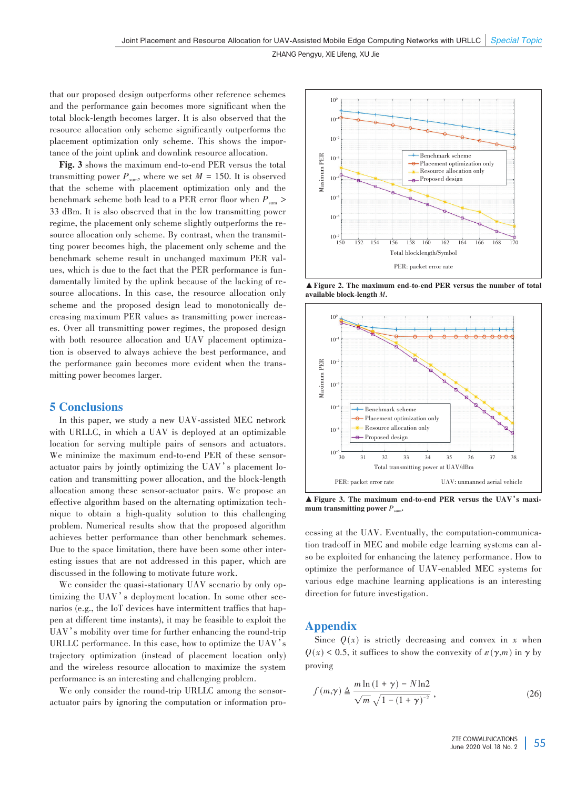that our proposed design outperforms other reference schemes and the performance gain becomes more significant when the total block-length becomes larger. It is also observed that the resource allocation only scheme significantly outperforms the placement optimization only scheme. This shows the importance of the joint uplink and downlink resource allocation.

Fig. 3 shows the maximum end-to-end PER versus the total transmitting power  $P_{\text{sum}}$ , where we set  $M = 150$ . It is observed that the scheme with placement optimization only and the benchmark scheme both lead to a PER error floor when  $P_{\text{sum}}$ 33 dBm. It is also observed that in the low transmitting power regime, the placement only scheme slightly outperforms the resource allocation only scheme. By contrast, when the transmitting power becomes high, the placement only scheme and the benchmark scheme result in unchanged maximum PER values, which is due to the fact that the PER performance is fundamentally limited by the uplink because of the lacking of resource allocations. In this case, the resource allocation only scheme and the proposed design lead to monotonically decreasing maximum PER values as transmitting power increases. Over all transmitting power regimes, the proposed design with both resource allocation and UAV placement optimization is observed to always achieve the best performance, and the performance gain becomes more evident when the transmitting power becomes larger.

## 5 Conclusions

In this paper, we study a new UAV-assisted MEC network with URLLC, in which a UAV is deployed at an optimizable location for serving multiple pairs of sensors and actuators. We minimize the maximum end-to-end PER of these sensoractuator pairs by jointly optimizing the UAV's placement location and transmitting power allocation, and the block-length allocation among these sensor-actuator pairs. We propose an effective algorithm based on the alternating optimization tech⁃ nique to obtain a high-quality solution to this challenging problem. Numerical results show that the proposed algorithm achieves better performance than other benchmark schemes. Due to the space limitation, there have been some other interesting issues that are not addressed in this paper, which are discussed in the following to motivate future work.

We consider the quasi-stationary UAV scenario by only optimizing the UAV's deployment location. In some other scenarios (e.g., the IoT devices have intermittent traffics that happen at different time instants), it may be feasible to exploit the UAV's mobility over time for further enhancing the round-trip URLLC performance. In this case, how to optimize the UAV's trajectory optimization (instead of placement location only) and the wireless resource allocation to maximize the system performance is an interesting and challenging problem.

We only consider the round-trip URLLC among the sensoractuator pairs by ignoring the computation or information pro-



▲Figure 2. The maximum end-to-end PER versus the number of total available block-length *M*.



▲ Figure 3. The maximum end-to-end PER versus the UAV's maximum transmitting power  $P_{\text{sum}}$ 

cessing at the UAV. Eventually, the computation-communication tradeoff in MEC and mobile edge learning systems can also be exploited for enhancing the latency performance. How to optimize the performance of UAV-enabled MEC systems for various edge machine learning applications is an interesting direction for future investigation.

## Appendix

Since  $Q(x)$  is strictly decreasing and convex in x when  $Q(x)$  < 0.5, it suffices to show the convexity of  $\varepsilon(\gamma,m)$  in  $\gamma$  by proving

$$
f(m,\gamma) \triangleq \frac{m \ln\left(1+\gamma\right) - N \ln 2}{\sqrt{m}\sqrt{1-\left(1+\gamma\right)^{-2}}},\tag{26}
$$